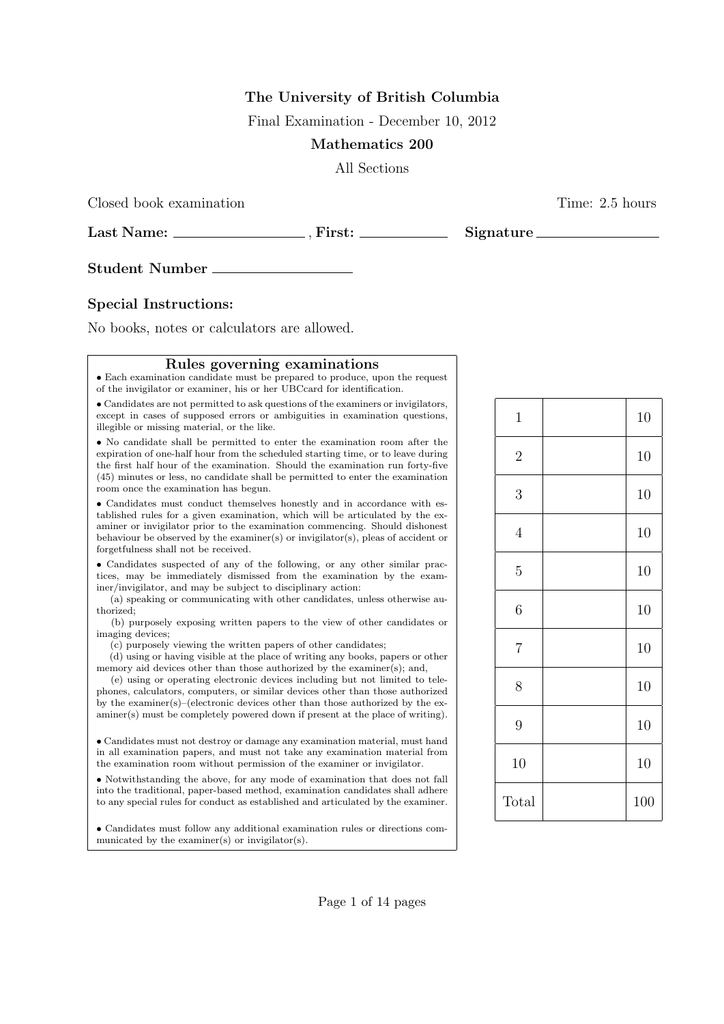## **The University of British Columbia**

Final Examination - December 10, 2012

## **Mathematics 200**

All Sections

Closed book examination **Time:** 2.5 hours

**Last Name:** , **First: Signature**

**Student Number**

## **Special Instructions:**

No books, notes or calculators are allowed.

## **Rules governing examinations**

*•* Each examination candidate must be prepared to produce, upon the request of the invigilator or examiner, his or her UBCcard for identification.

*•* Candidates are not permitted to ask questions of the examiners or invigilators, except in cases of supposed errors or ambiguities in examination questions, illegible or missing material, or the like.

*•* No candidate shall be permitted to enter the examination room after the expiration of one-half hour from the scheduled starting time, or to leave during the first half hour of the examination. Should the examination run forty-five (45) minutes or less, no candidate shall be permitted to enter the examination room once the examination has begun.

*•* Candidates must conduct themselves honestly and in accordance with established rules for a given examination, which will be articulated by the examiner or invigilator prior to the examination commencing. Should dishonest behaviour be observed by the examiner(s) or invigilator(s), pleas of accident or forgetfulness shall not be received.

*•* Candidates suspected of any of the following, or any other similar practices, may be immediately dismissed from the examination by the examiner/invigilator, and may be subject to disciplinary action:

(a) speaking or communicating with other candidates, unless otherwise authorized;

(b) purposely exposing written papers to the view of other candidates or imaging devices;

(c) purposely viewing the written papers of other candidates;

(d) using or having visible at the place of writing any books, papers or other memory aid devices other than those authorized by the examiner(s); and,

(e) using or operating electronic devices including but not limited to telephones, calculators, computers, or similar devices other than those authorized by the examiner(s)–(electronic devices other than those authorized by the examiner(s) must be completely powered down if present at the place of writing).

*•* Candidates must not destroy or damage any examination material, must hand in all examination papers, and must not take any examination material from the examination room without permission of the examiner or invigilator.

*•* Notwithstanding the above, for any mode of examination that does not fall into the traditional, paper-based method, examination candidates shall adhere to any special rules for conduct as established and articulated by the examiner.

*•* Candidates must follow any additional examination rules or directions communicated by the examiner(s) or invigilator(s).

| $\mathbf{1}$     | 10  |
|------------------|-----|
| $\overline{2}$   | 10  |
| $\boldsymbol{3}$ | 10  |
| $\overline{4}$   | 10  |
| $\overline{5}$   | 10  |
| $\boldsymbol{6}$ | 10  |
| $\overline{7}$   | 10  |
| $8\,$            | 10  |
| 9                | 10  |
| 10               | 10  |
| Total            | 100 |

Page 1 of 14 pages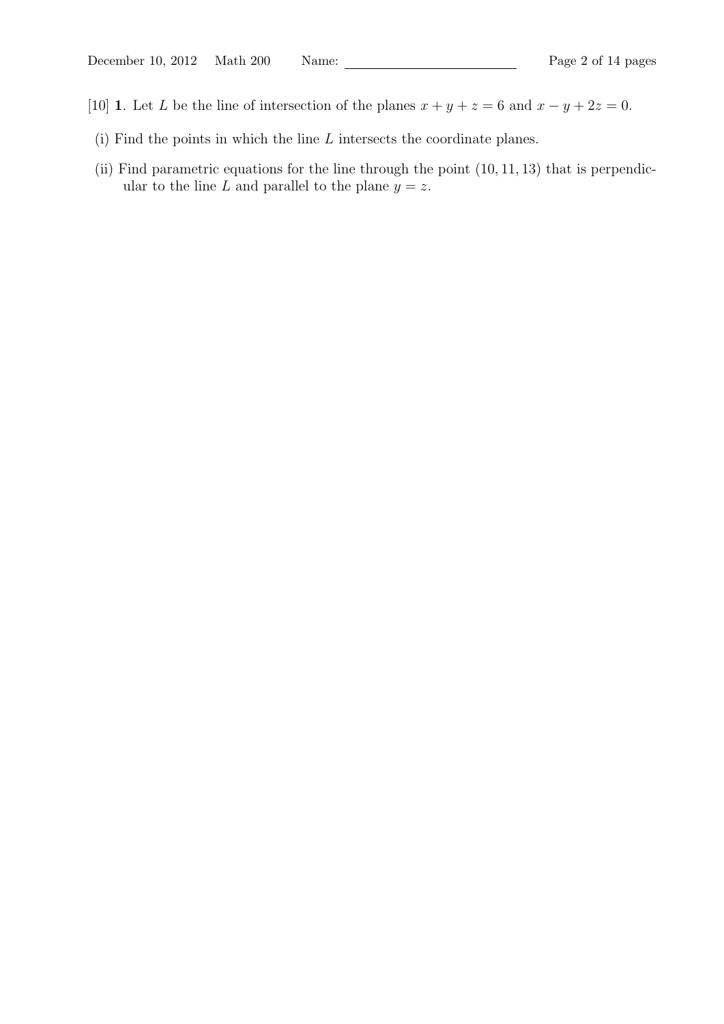- [10] **1**. Let *L* be the line of intersection of the planes  $x + y + z = 6$  and  $x y + 2z = 0$ .
	- (i) Find the points in which the line *L* intersects the coordinate planes.
	- (ii) Find parametric equations for the line through the point (10*,* 11*,* 13) that is perpendicular to the line *L* and parallel to the plane  $y = z$ .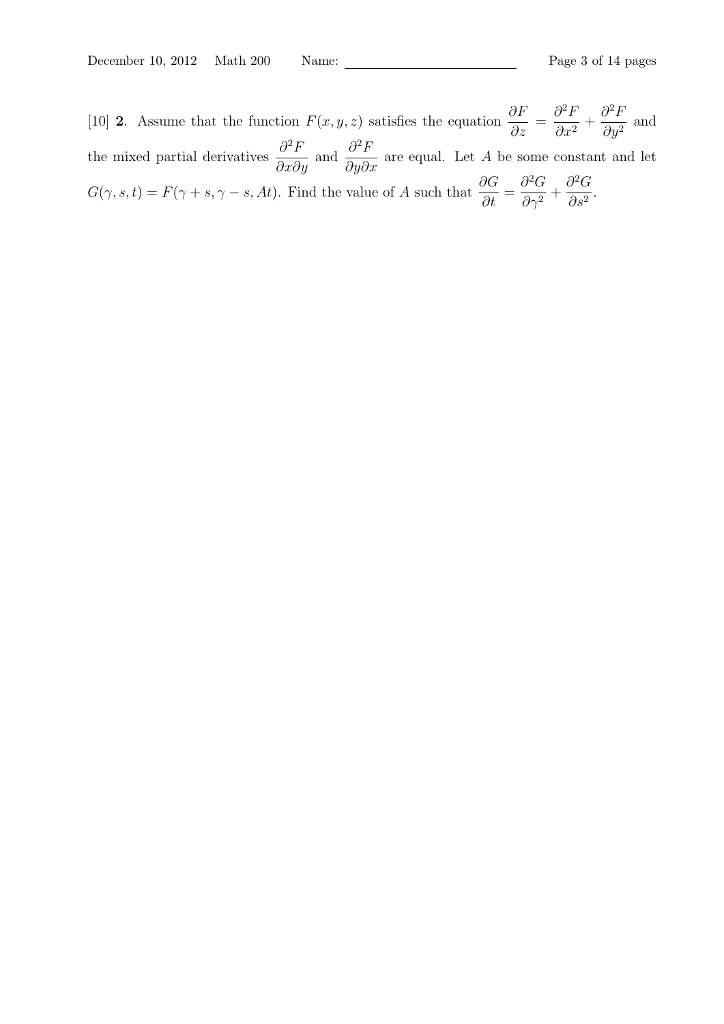[10] **2**. Assume that the function  $F(x, y, z)$  satisfies the equation  $\frac{\partial F}{\partial y}$  $\frac{\partial}{\partial z}$  =  $∂$ <sup>2</sup> $$  $\frac{\partial}{\partial x^2}$  +  $∂$ <sup>2</sup> $$  $\frac{\partial^2 I}{\partial y^2}$  and the mixed partial derivatives  $\frac{\partial^2 F}{\partial x \partial y}$  and  $\frac{\partial^2 F}{\partial y \partial z}$  $\frac{\partial^2 I}{\partial y \partial x}$  are equal. Let *A* be some constant and let  $G(\gamma, s, t) = F(\gamma + s, \gamma - s, At)$ . Find the value of *A* such that  $\frac{\partial G}{\partial t} =$  $∂$ <sup>2</sup> $G$  $\frac{\partial}{\partial \gamma^2}$  +  $∂$ <sup>2</sup> $G$  $\frac{6}{\partial s^2}$ .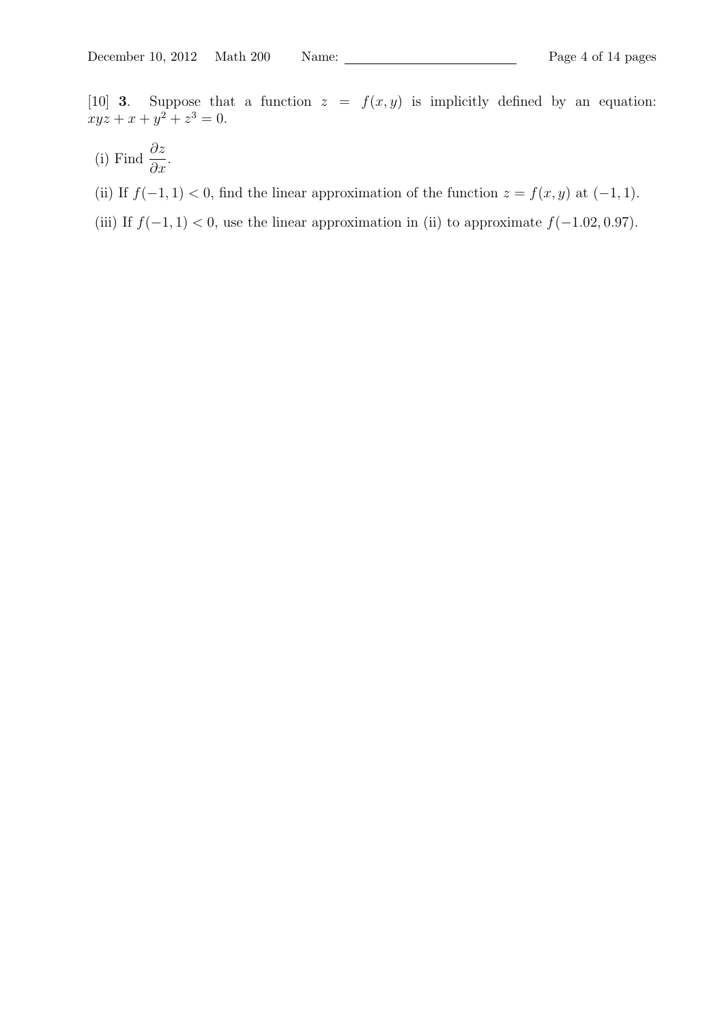[10] **3**. Suppose that a function  $z = f(x, y)$  is implicitly defined by an equation:  $xyz + x + y^2 + z^3 = 0.$ 

- (i) Find *∂z ∂x*.
- (ii) If  $f(-1, 1) < 0$ , find the linear approximation of the function  $z = f(x, y)$  at  $(-1, 1)$ .
- (iii) If  $f(-1, 1) < 0$ , use the linear approximation in (ii) to approximate  $f(-1.02, 0.97)$ .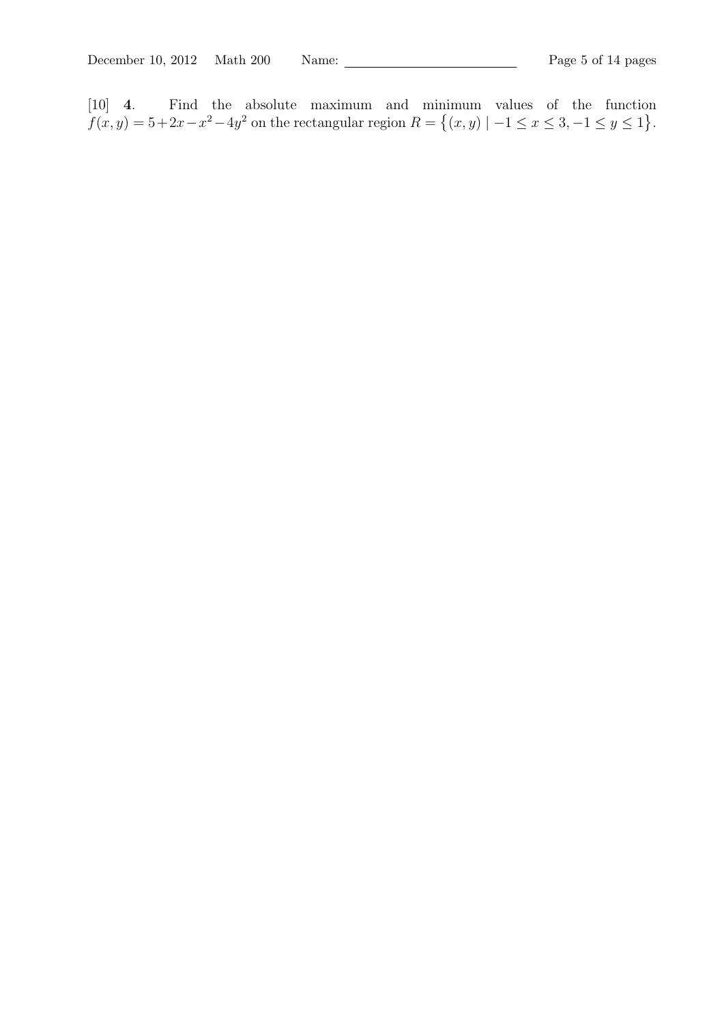[10] **4**. Find the absolute maximum and minimum values of the function  $f(x, y) = 5 + 2x - x^2 - 4y^2$  on the rectangular region  $R = \{(x, y) | -1 \le x \le 3, -1 \le y \le 1\}.$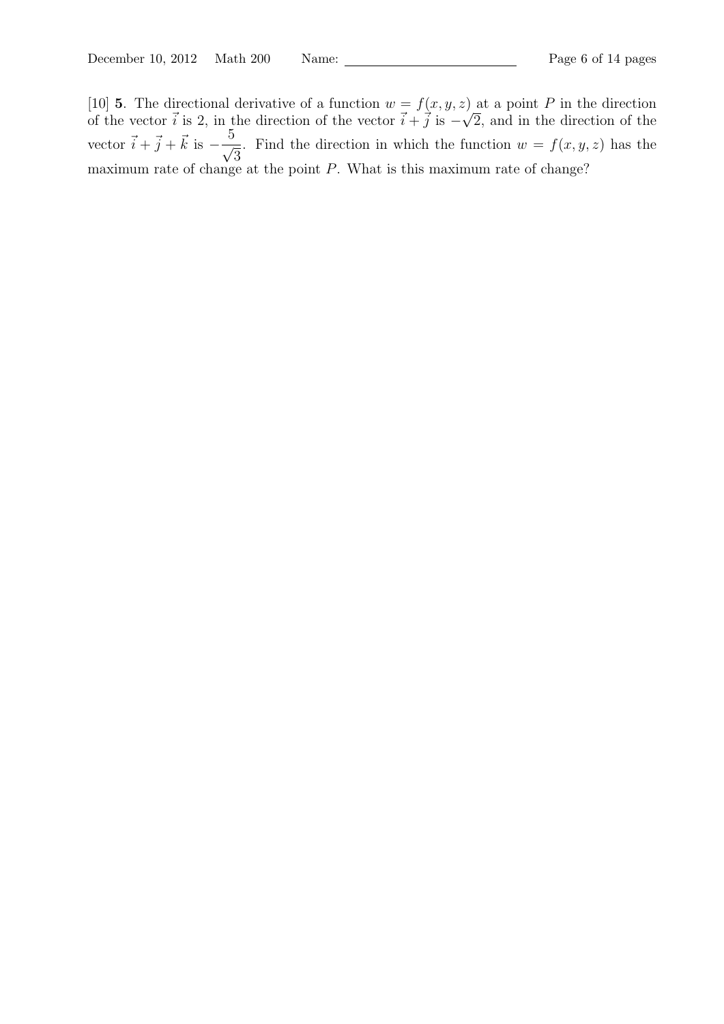[10] **5**. The directional derivative of a function  $w = f(x, y, z)$  at a point P in the direction of the vector  $\vec{i}$  is 2, in the direction of the vector  $\vec{i} + \vec{j}$  is  $-\sqrt{j}$ 2, and in the direction of the vector  $\vec{i} + \vec{j} + \vec{k}$  is  $-\frac{5}{4}$ *√* 3 . Find the direction in which the function  $w = f(x, y, z)$  has the maximum rate of change at the point *P*. What is this maximum rate of change?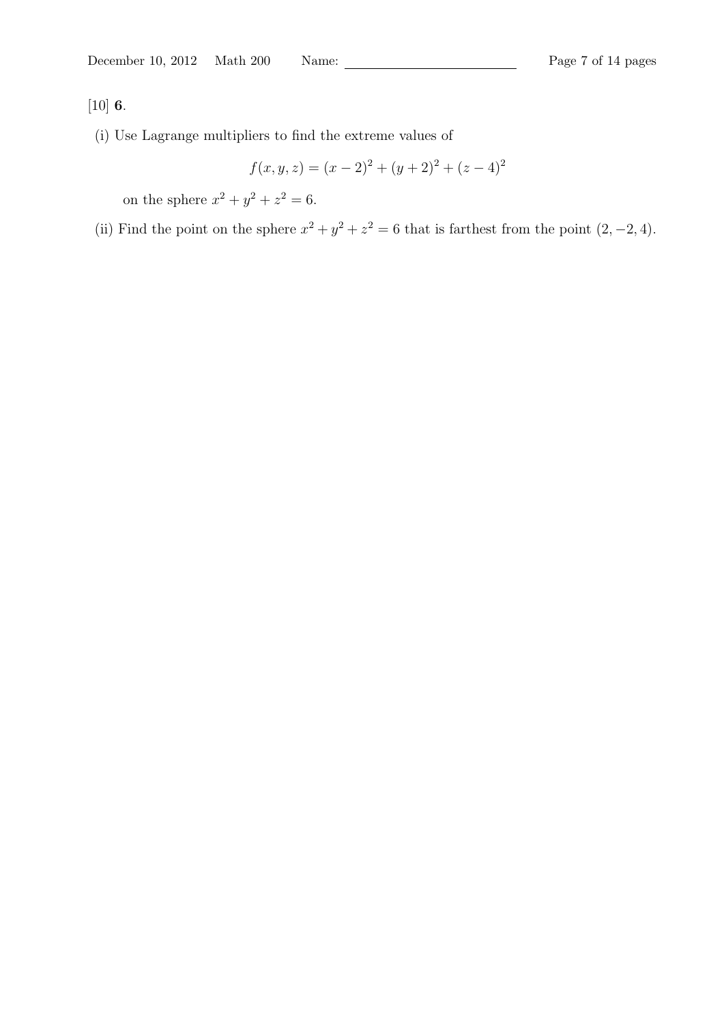[10] **6**.

(i) Use Lagrange multipliers to find the extreme values of

$$
f(x, y, z) = (x - 2)^{2} + (y + 2)^{2} + (z - 4)^{2}
$$

on the sphere  $x^2 + y^2 + z^2 = 6$ .

(ii) Find the point on the sphere  $x^2 + y^2 + z^2 = 6$  that is farthest from the point  $(2, -2, 4)$ .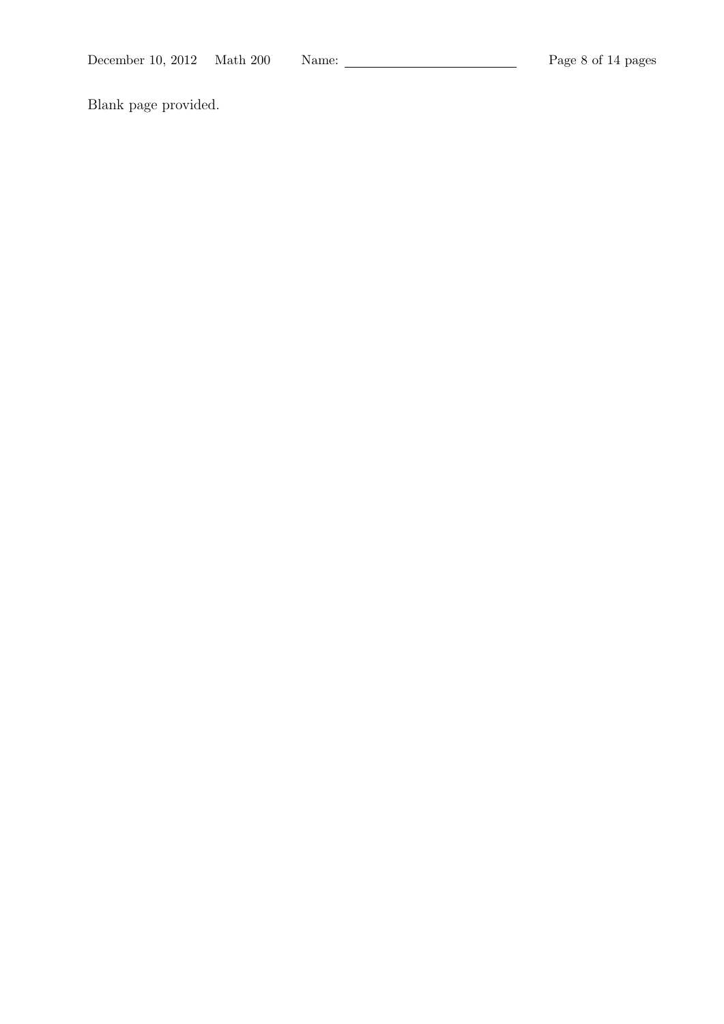Blank page provided.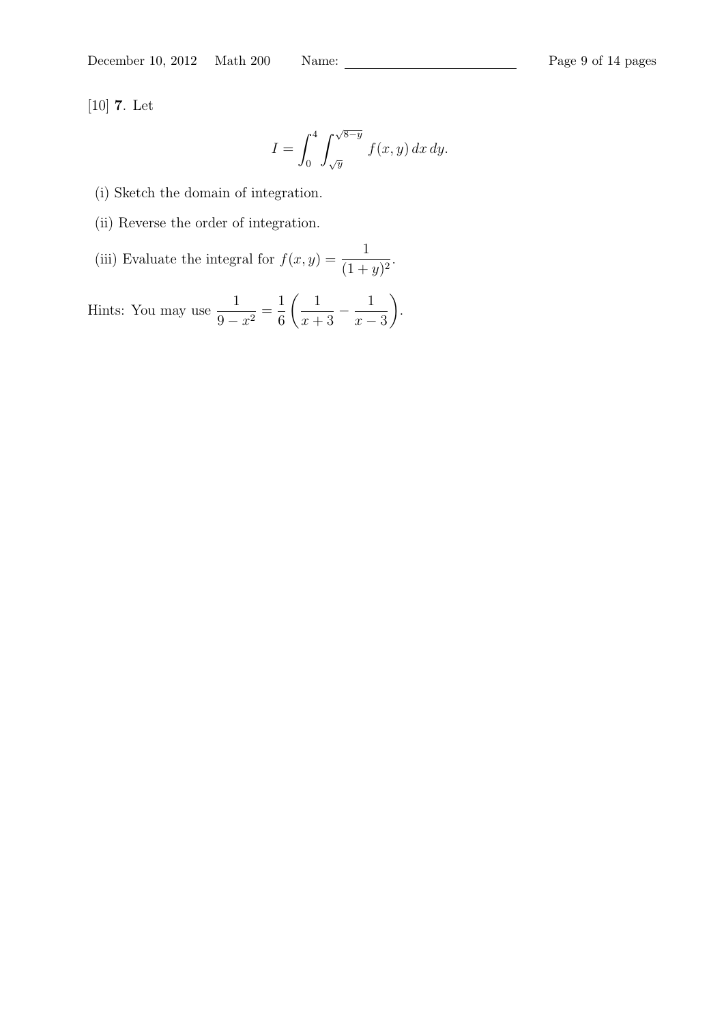[10] **7**. Let

$$
I = \int_0^4 \int_{\sqrt{y}}^{\sqrt{8-y}} f(x, y) dx dy.
$$

(i) Sketch the domain of integration.

(ii) Reverse the order of integration.

(iii) Evaluate the integral for 
$$
f(x, y) = \frac{1}{(1 + y)^2}
$$
.

Hints: You may use  $\frac{1}{2}$  $\frac{1}{9-x^2}$ 1 6  $\begin{pmatrix} 1 \end{pmatrix}$  $\frac{1}{x+3}$  – 1 *x −* 3  $\setminus$ .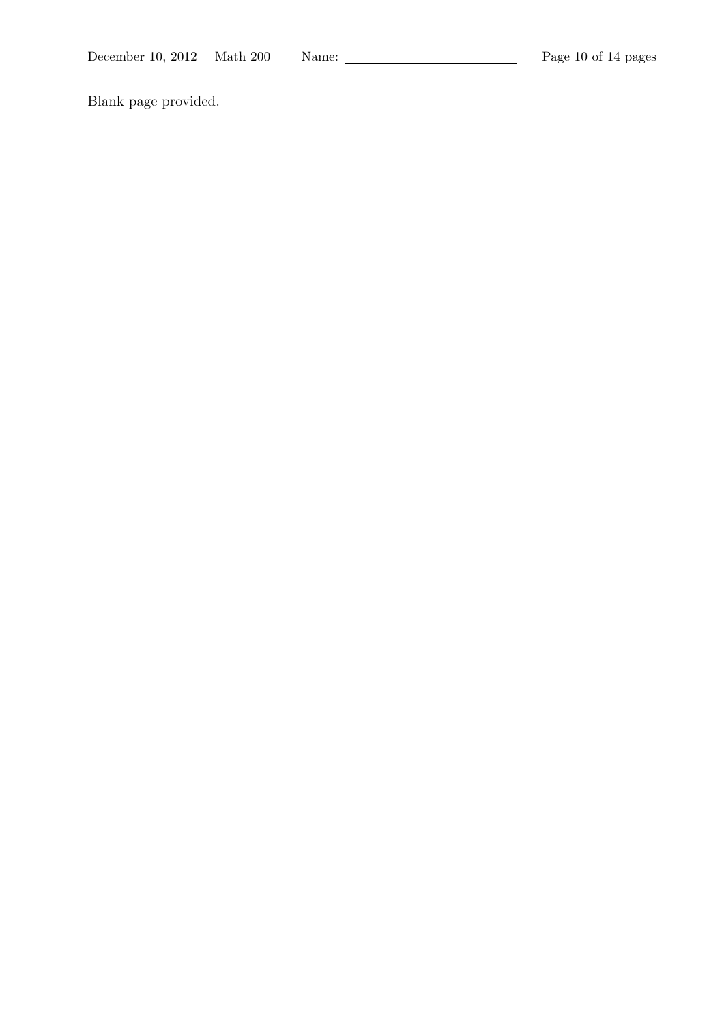Blank page provided.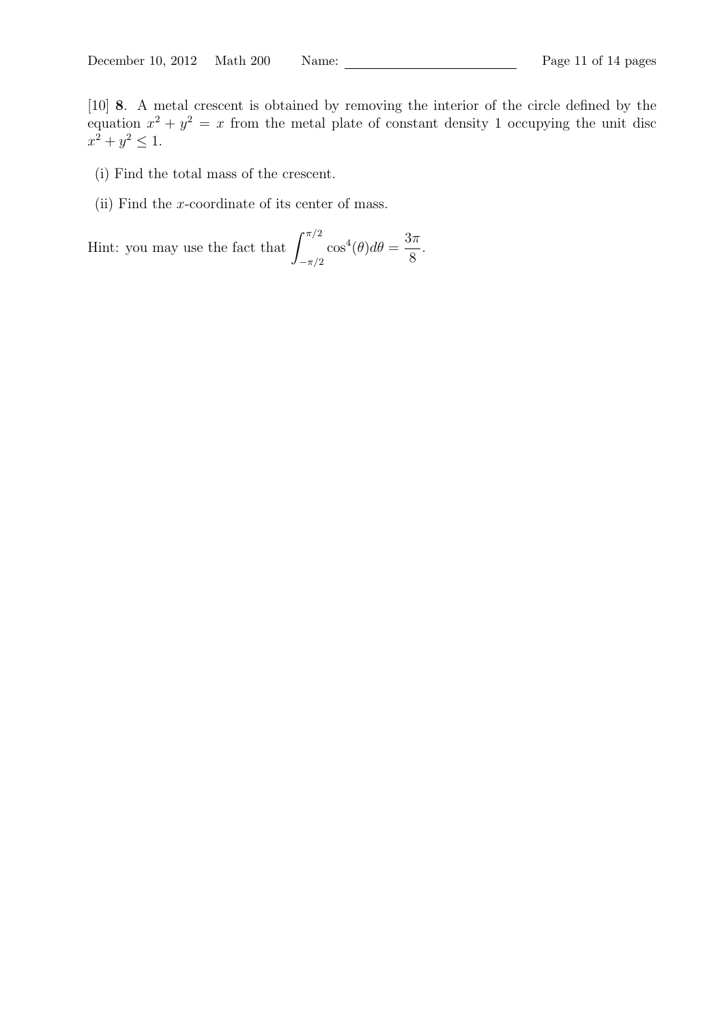- (i) Find the total mass of the crescent.
- (ii) Find the *x*-coordinate of its center of mass.

Hint: you may use the fact that  $\int_{0}^{\pi/2}$ *−π/*2  $\cos^4(\theta)d\theta =$ 3*π* 8 .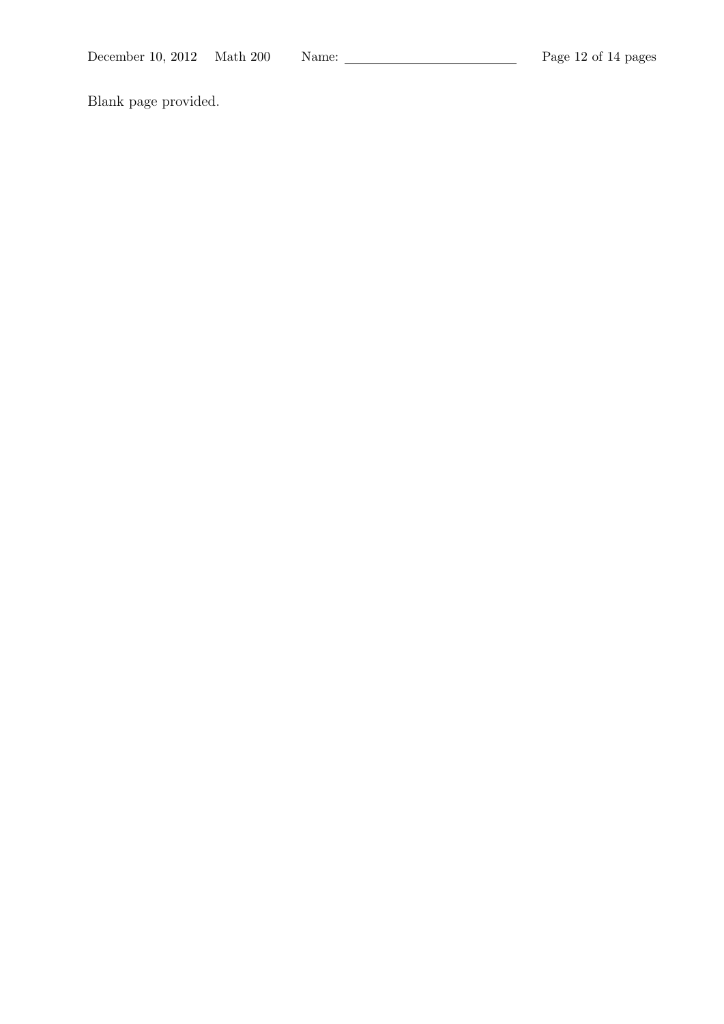Blank page provided.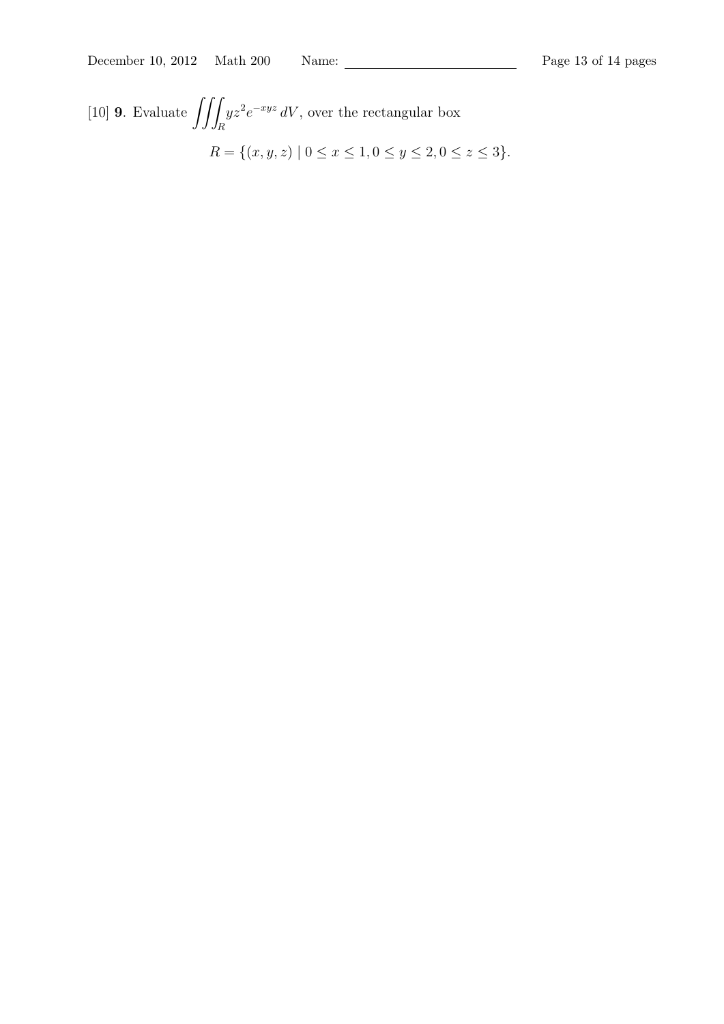[10] **<sup>9</sup>**. Evaluate ∫∫∫ *R yz*<sup>2</sup>*e*<sup>−*xyz*</sup> *dV*, over the rectangular box *R* = { $(x, y, z) | 0 \le x \le 1, 0 \le y \le 2, 0 \le z \le 3$ }*.*